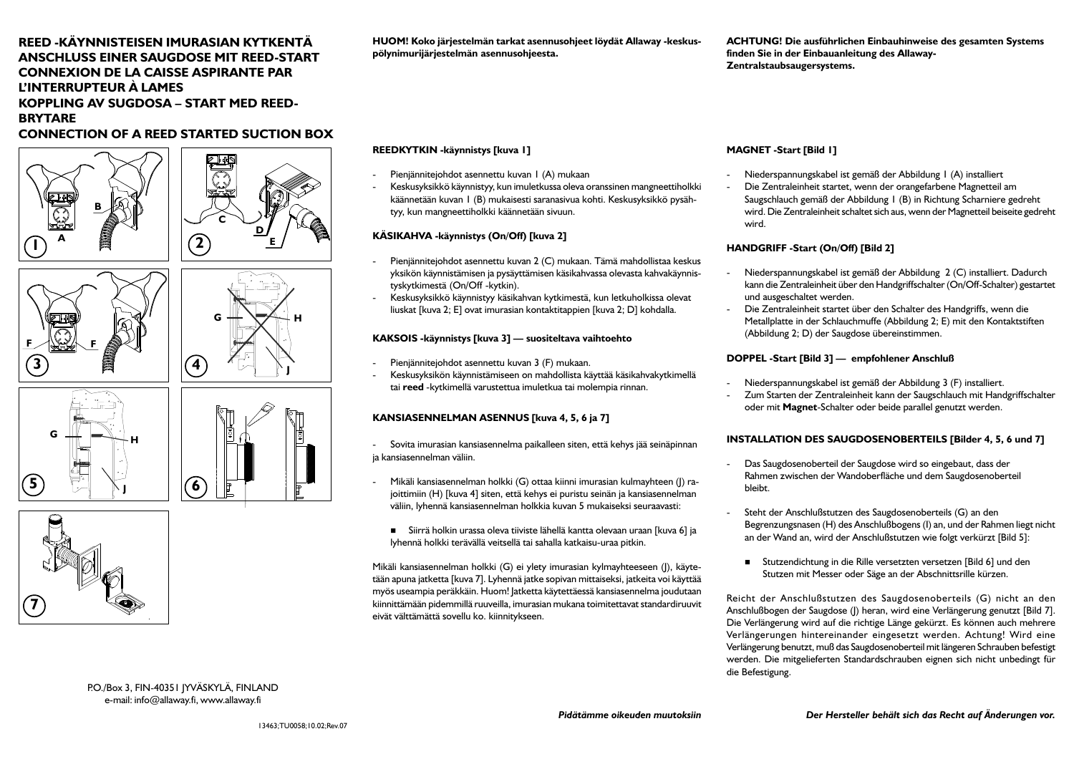# **REED -KÄYNNISTEISEN IMURASIAN KYTKENTÄ ANSCHLUSS EINER SAUGDOSE MIT REED-START CONNEXION DE LA CAISSE ASPIRANTE PAR L'INTERRUPTEUR À LAMES KOPPLING AV SUGDOSA – START MED REED-BRYTARE**

# **CONNECTION OF A REED STARTED SUCTION BOX**









**F F**



**HUOM! Koko järjestelmän tarkat asennusohjeet löydät Allaway -keskuspölynimurijärjestelmän asennusohjeesta.**

### **REEDKYTKIN -käynnistys [kuva 1]**

- Pienjännitejohdot asennettu kuvan 1 (A) mukaan
- Keskusyksikkö käynnistyy, kun imuletkussa oleva oranssinen mangneettiholkki käännetään kuvan 1 (B) mukaisesti saranasivua kohti. Keskusyksikkö pysähtyy, kun mangneettiholkki käännetään sivuun.

#### **KÄSIKAHVA -käynnistys (On/Off) [kuva 2]**

- Pienjännitejohdot asennettu kuvan 2 (C) mukaan. Tämä mahdollistaa keskus yksikön käynnistämisen ja pysäyttämisen käsikahvassa olevasta kahvakäynnistyskytkimestä (On/Off -kytkin).
- - Keskusyksikkö käynnistyy käsikahvan kytkimestä, kun letkuholkissa olevat liuskat [kuva 2; E] ovat imurasian kontaktitappien [kuva 2; D] kohdalla.

#### **KAKSOIS -käynnistys [kuva 3] — suositeltava vaihtoehto**

- Pienjännitejohdot asennettu kuvan 3 (F) mukaan.
- Keskusyksikön käynnistämiseen on mahdollista käyttää käsikahvakytkimellä tai **reed** -kytkimellä varustettua imuletkua tai molempia rinnan.

### **KANSIASENNELMAN ASENNUS [kuva 4, 5, 6 ja 7]**

- Sovita imurasian kansiasennelma paikalleen siten, että kehys jää seinäpinnan ja kansiasennelman väliin.

- Mikäli kansiasennelman holkki (G) ottaa kiinni imurasian kulmayhteen (J) rajoittimiin (H) [kuva 4] siten, että kehys ei puristu seinän ja kansiasennelman väliin, lyhennä kansiasennelman holkkia kuvan 5 mukaiseksi seuraavasti:
	- Siirrä holkin urassa oleva tiiviste lähellä kantta olevaan uraan [kuva 6] ja lyhennä holkki terävällä veitsellä tai sahalla katkaisu-uraa pitkin.

Mikäli kansiasennelman holkki (G) ei ylety imurasian kylmayhteeseen (J), käytetään apuna jatketta [kuva 7]. Lyhennä jatke sopivan mittaiseksi, jatkeita voi käyttää myös useampia peräkkäin. Huom! Jatketta käytettäessä kansiasennelma joudutaan kiinnittämään pidemmillä ruuveilla, imurasian mukana toimitettavat standardiruuvit eivät välttämättä sovellu ko. kiinnitykseen.

**ACHTUNG! Die ausführlichen Einbauhinweise des gesamten Systems finden Sie in der Einbauanleitung des Allaway-Zentralstaubsaugersystems.**

#### **MAGNET -Start [Bild 1]**

- Niederspannungskabel ist gemäß der Abbildung 1 (A) installiert
- Die Zentraleinheit startet, wenn der orangefarbene Magnetteil am Saugschlauch gemäß der Abbildung 1 (B) in Richtung Scharniere gedreht wird. Die Zentraleinheit schaltet sich aus, wenn der Magnetteil beiseite gedreht wird.

#### **HANDGRIFF -Start (On/Off) [Bild 2]**

- Niederspannungskabel ist gemäß der Abbildung 2 (C) installiert. Dadurch kann die Zentraleinheit über den Handgriffschalter (On/Off-Schalter) gestartet und ausgeschaltet werden.
- Die Zentraleinheit startet über den Schalter des Handgriffs, wenn die Metallplatte in der Schlauchmuffe (Abbildung 2; E) mit den Kontaktstiften (Abbildung 2; D) der Saugdose übereinstimmen.

#### **DOPPEL -Start [Bild 3] — empfohlener Anschluß**

- Niederspannungskabel ist gemäß der Abbildung 3 (F) installiert.
- Zum Starten der Zentraleinheit kann der Saugschlauch mit Handgriffschalter oder mit **Magnet**-Schalter oder beide parallel genutzt werden.

#### **INSTALLATION DES SAUGDOSENOBERTEILS [Bilder 4, 5, 6 und 7]**

- Das Saugdosenoberteil der Saugdose wird so eingebaut, dass der Rahmen zwischen der Wandoberfläche und dem Saugdosenoberteil bleibt.
- Steht der Anschlußstutzen des Saugdosenoberteils (G) an den Begrenzungsnasen (H) des Anschlußbogens (I) an, und der Rahmen liegt nicht an der Wand an, wird der Anschlußstutzen wie folgt verkürzt [Bild 5]:
	- Stutzendichtung in die Rille versetzten versetzen [Bild 6] und den Stutzen mit Messer oder Säge an der Abschnittsrille kürzen.

Reicht der Anschlußstutzen des Saugdosenoberteils (G) nicht an den Anschlußbogen der Saugdose (I) heran, wird eine Verlängerung genutzt [Bild 7]. Die Verlängerung wird auf die richtige Länge gekürzt. Es können auch mehrere Verlängerungen hintereinander eingesetzt werden. Achtung! Wird eine Verlängerung benutzt, muß das Saugdosenoberteil mit längeren Schrauben befestigt werden. Die mitgelieferten Standardschrauben eignen sich nicht unbedingt für die Befestigung.

P.O./Box 3, FIN-40351 JYVÄSKYLÄ, FINLAND e-mail: info@allaway.fi, www.allaway.fi